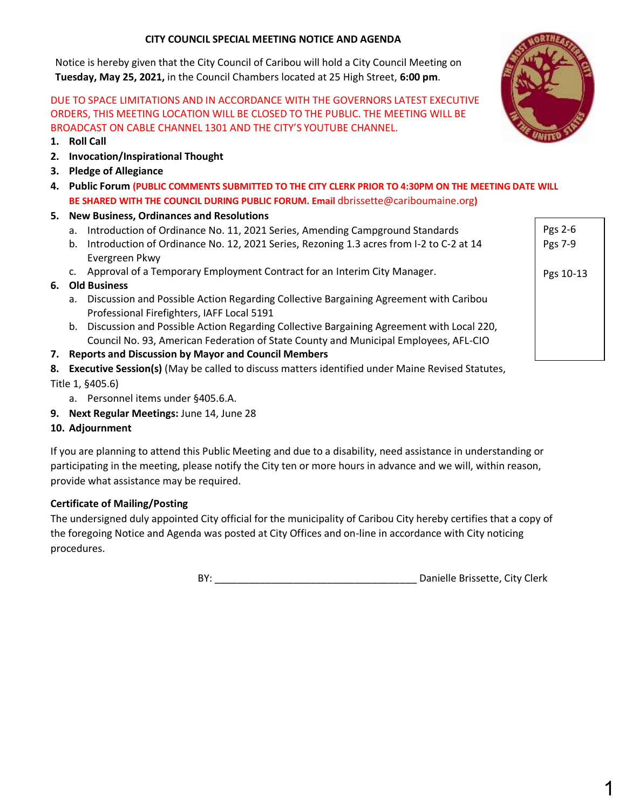1

### **CITY COUNCIL SPECIAL MEETING NOTICE AND AGENDA**

Notice is hereby given that the City Council of Caribou will hold a City Council Meeting on **Tuesday, May 25, 2021,** in the Council Chambers located at 25 High Street, **6:00 pm**.

DUE TO SPACE LIMITATIONS AND IN ACCORDANCE WITH THE GOVERNORS LATEST EXECUTIVE ORDERS, THIS MEETING LOCATION WILL BE CLOSED TO THE PUBLIC. THE MEETING WILL BE BROADCAST ON CABLE CHANNEL 1301 AND THE CITY'S YOUTUBE CHANNEL.

- **1. Roll Call**
- **2. Invocation/Inspirational Thought**
- **3. Pledge of Allegiance**
- 4. Public Forum (PUBLIC COMMENTS SUBMITTED TO THE CITY CLERK PRIOR TO 4:30PM ON THE MEETING DATE WILL **BE SHARED WITH THE COUNCIL DURING PUBLIC FORUM. Email** dbrissette@cariboumaine.org**)**
- **5. New Business, Ordinances and Resolutions**
	- a. Introduction of Ordinance No. 11, 2021 Series, Amending Campground Standards
	- b. Introduction of Ordinance No. 12, 2021 Series, Rezoning 1.3 acres from I-2 to C-2 at 14 Evergreen Pkwy
	- c. Approval of a Temporary Employment Contract for an Interim City Manager.
- **6. Old Business**
	- a. Discussion and Possible Action Regarding Collective Bargaining Agreement with Caribou Professional Firefighters, IAFF Local 5191
	- b. Discussion and Possible Action Regarding Collective Bargaining Agreement with Local 220, Council No. 93, American Federation of State County and Municipal Employees, AFL-CIO
- **7. Reports and Discussion by Mayor and Council Members**

**8. Executive Session(s)** (May be called to discuss matters identified under Maine Revised Statutes, Title 1, §405.6)

- a. Personnel items under §405.6.A.
- **9. Next Regular Meetings:** June 14, June 28
- **10. Adjournment**

If you are planning to attend this Public Meeting and due to a disability, need assistance in understanding or participating in the meeting, please notify the City ten or more hours in advance and we will, within reason, provide what assistance may be required.

### **Certificate of Mailing/Posting**

The undersigned duly appointed City official for the municipality of Caribou City hereby certifies that a copy of the foregoing Notice and Agenda was posted at City Offices and on-line in accordance with City noticing procedures.

BY: **Example 3 Exercise 2 Allegates 2 Allegates 2 Allegates 2 Allegates 2 Allegates 2 Allegates 2 Allegates 2 Al** 



Pgs 2-6 Pgs 7-9

Pgs 10-13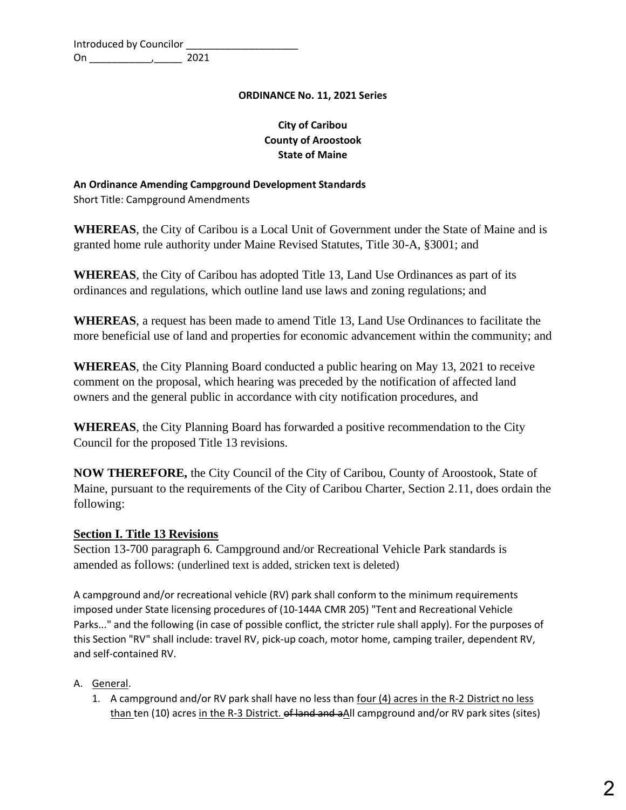### **ORDINANCE No. 11, 2021 Series**

### **City of Caribou County of Aroostook State of Maine**

#### **An Ordinance Amending Campground Development Standards** Short Title: Campground Amendments

**WHEREAS**, the City of Caribou is a Local Unit of Government under the State of Maine and is granted home rule authority under Maine Revised Statutes, Title 30-A, §3001; and

**WHEREAS**, the City of Caribou has adopted Title 13, Land Use Ordinances as part of its ordinances and regulations, which outline land use laws and zoning regulations; and

**WHEREAS**, a request has been made to amend Title 13, Land Use Ordinances to facilitate the more beneficial use of land and properties for economic advancement within the community; and

**WHEREAS**, the City Planning Board conducted a public hearing on May 13, 2021 to receive comment on the proposal, which hearing was preceded by the notification of affected land owners and the general public in accordance with city notification procedures, and

**WHEREAS**, the City Planning Board has forwarded a positive recommendation to the City Council for the proposed Title 13 revisions.

**NOW THEREFORE,** the City Council of the City of Caribou, County of Aroostook, State of Maine, pursuant to the requirements of the City of Caribou Charter, Section 2.11, does ordain the following:

### **Section I. Title 13 Revisions**

Section 13-700 paragraph 6. Campground and/or Recreational Vehicle Park standards is amended as follows: (underlined text is added, stricken text is deleted)

A campground and/or recreational vehicle (RV) park shall conform to the minimum requirements imposed under State licensing procedures of (10-144A CMR 205) "Tent and Recreational Vehicle Parks..." and the following (in case of possible conflict, the stricter rule shall apply). For the purposes of this Section "RV" shall include: travel RV, pick-up coach, motor home, camping trailer, dependent RV, and self-contained RV.

### A. General.

1. A campground and/or RV park shall have no less than four (4) acres in the R-2 District no less than ten (10) acres in the R-3 District. of land and aAll campground and/or RV park sites (sites)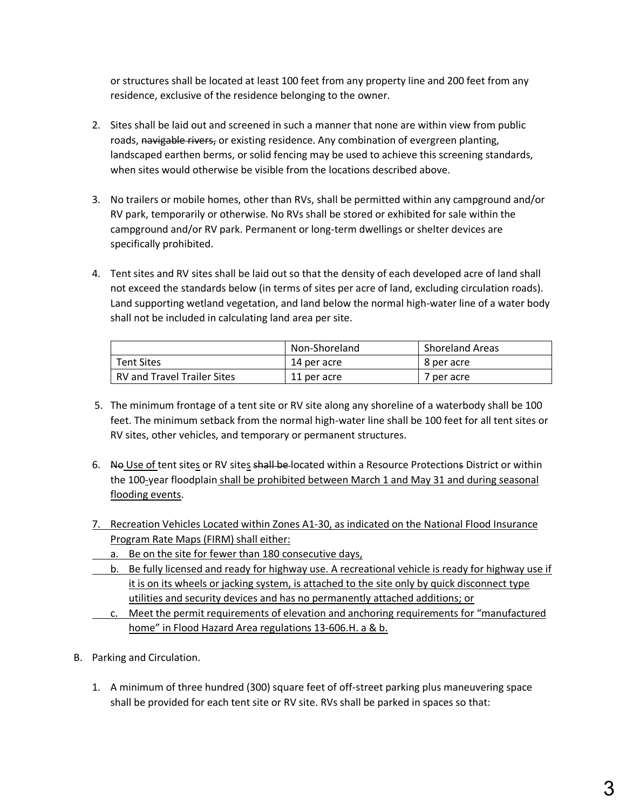or structures shall be located at least 100 feet from any property line and 200 feet from any residence, exclusive of the residence belonging to the owner.

- 2. Sites shall be laid out and screened in such a manner that none are within view from public roads, navigable rivers, or existing residence. Any combination of evergreen planting, landscaped earthen berms, or solid fencing may be used to achieve this screening standards, when sites would otherwise be visible from the locations described above.
- 3. No trailers or mobile homes, other than RVs, shall be permitted within any campground and/or RV park, temporarily or otherwise. No RVs shall be stored or exhibited for sale within the campground and/or RV park. Permanent or long-term dwellings or shelter devices are specifically prohibited.
- 4. Tent sites and RV sites shall be laid out so that the density of each developed acre of land shall not exceed the standards below (in terms of sites per acre of land, excluding circulation roads). Land supporting wetland vegetation, and land below the normal high-water line of a water body shall not be included in calculating land area per site.

|                             | Non-Shoreland | <b>Shoreland Areas</b> |
|-----------------------------|---------------|------------------------|
| <b>Tent Sites</b>           | 14 per acre   | 8 per acre             |
| RV and Travel Trailer Sites | 11 per acre   | 7 per acre             |

- 5. The minimum frontage of a tent site or RV site along any shoreline of a waterbody shall be 100 feet. The minimum setback from the normal high-water line shall be 100 feet for all tent sites or RV sites, other vehicles, and temporary or permanent structures.
- 6. No Use of tent sites or RV sites shall be-located within a Resource Protections District or within the 100-year floodplain shall be prohibited between March 1 and May 31 and during seasonal flooding events.
- 7. Recreation Vehicles Located within Zones A1-30, as indicated on the National Flood Insurance Program Rate Maps (FIRM) shall either:
	- a. Be on the site for fewer than 180 consecutive days,
- b. Be fully licensed and ready for highway use. A recreational vehicle is ready for highway use if it is on its wheels or jacking system, is attached to the site only by quick disconnect type utilities and security devices and has no permanently attached additions; or
- c. Meet the permit requirements of elevation and anchoring requirements for "manufactured home" in Flood Hazard Area regulations 13-606.H. a & b.
- B. Parking and Circulation.
	- 1. A minimum of three hundred (300) square feet of off-street parking plus maneuvering space shall be provided for each tent site or RV site. RVs shall be parked in spaces so that: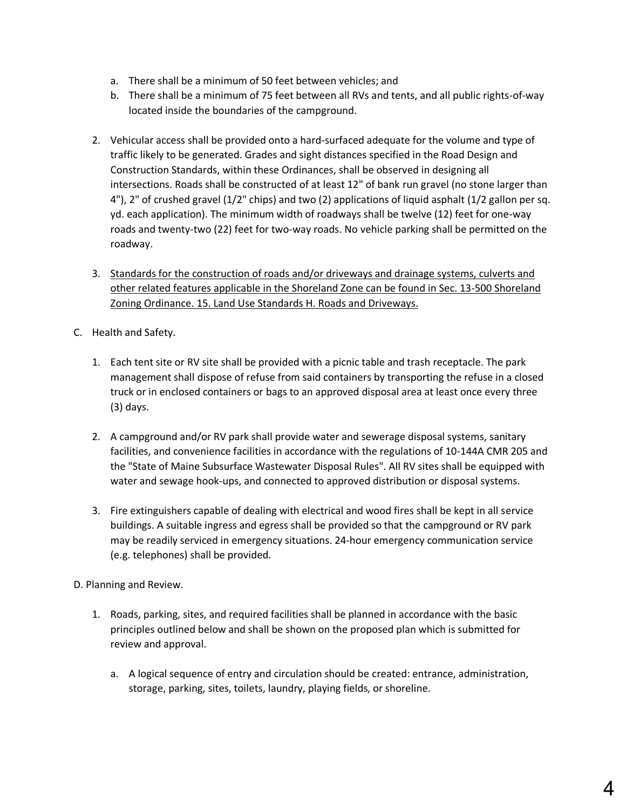- a. There shall be a minimum of 50 feet between vehicles; and
- b. There shall be a minimum of 75 feet between all RVs and tents, and all public rights-of-way located inside the boundaries of the campground.
- 2. Vehicular access shall be provided onto a hard-surfaced adequate for the volume and type of traffic likely to be generated. Grades and sight distances specified in the Road Design and Construction Standards, within these Ordinances, shall be observed in designing all intersections. Roads shall be constructed of at least 12" of bank run gravel (no stone larger than 4"), 2" of crushed gravel (1/2" chips) and two (2) applications of liquid asphalt (1/2 gallon per sq. yd. each application). The minimum width of roadways shall be twelve (12) feet for one-way roads and twenty-two (22) feet for two-way roads. No vehicle parking shall be permitted on the roadway.
- 3. Standards for the construction of roads and/or driveways and drainage systems, culverts and other related features applicable in the Shoreland Zone can be found in Sec. 13-500 Shoreland Zoning Ordinance. 15. Land Use Standards H. Roads and Driveways.
- C. Health and Safety.
	- 1. Each tent site or RV site shall be provided with a picnic table and trash receptacle. The park management shall dispose of refuse from said containers by transporting the refuse in a closed truck or in enclosed containers or bags to an approved disposal area at least once every three (3) days.
	- 2. A campground and/or RV park shall provide water and sewerage disposal systems, sanitary facilities, and convenience facilities in accordance with the regulations of 10-144A CMR 205 and the "State of Maine Subsurface Wastewater Disposal Rules". All RV sites shall be equipped with water and sewage hook-ups, and connected to approved distribution or disposal systems.
	- 3. Fire extinguishers capable of dealing with electrical and wood fires shall be kept in all service buildings. A suitable ingress and egress shall be provided so that the campground or RV park may be readily serviced in emergency situations. 24-hour emergency communication service (e.g. telephones) shall be provided.

### D. Planning and Review.

- 1. Roads, parking, sites, and required facilities shall be planned in accordance with the basic principles outlined below and shall be shown on the proposed plan which is submitted for review and approval.
	- a. A logical sequence of entry and circulation should be created: entrance, administration, storage, parking, sites, toilets, laundry, playing fields, or shoreline.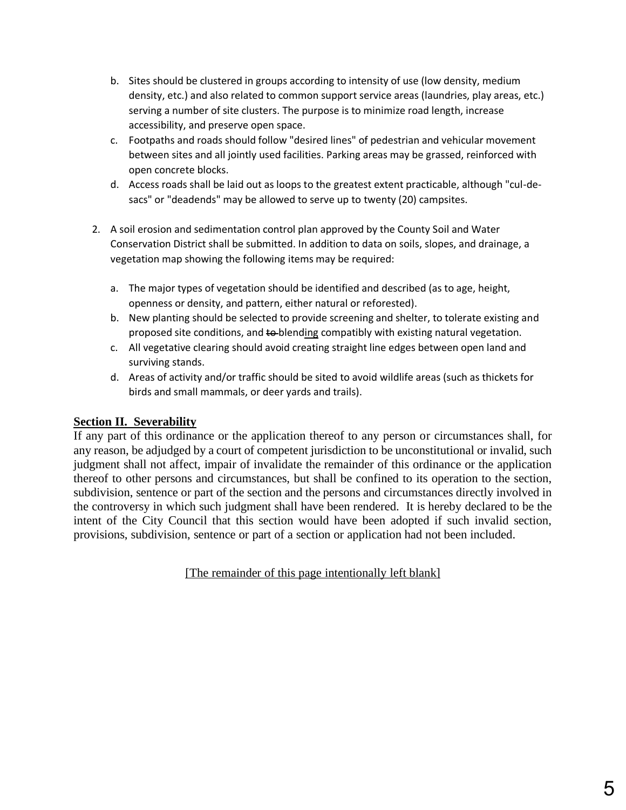- b. Sites should be clustered in groups according to intensity of use (low density, medium density, etc.) and also related to common support service areas (laundries, play areas, etc.) serving a number of site clusters. The purpose is to minimize road length, increase accessibility, and preserve open space.
- c. Footpaths and roads should follow "desired lines" of pedestrian and vehicular movement between sites and all jointly used facilities. Parking areas may be grassed, reinforced with open concrete blocks.
- d. Access roads shall be laid out as loops to the greatest extent practicable, although "cul-desacs" or "deadends" may be allowed to serve up to twenty (20) campsites.
- 2. A soil erosion and sedimentation control plan approved by the County Soil and Water Conservation District shall be submitted. In addition to data on soils, slopes, and drainage, a vegetation map showing the following items may be required:
	- a. The major types of vegetation should be identified and described (as to age, height, openness or density, and pattern, either natural or reforested).
	- b. New planting should be selected to provide screening and shelter, to tolerate existing and proposed site conditions, and to blending compatibly with existing natural vegetation.
	- c. All vegetative clearing should avoid creating straight line edges between open land and surviving stands.
	- d. Areas of activity and/or traffic should be sited to avoid wildlife areas (such as thickets for birds and small mammals, or deer yards and trails).

## **Section II. Severability**

If any part of this ordinance or the application thereof to any person or circumstances shall, for any reason, be adjudged by a court of competent jurisdiction to be unconstitutional or invalid, such judgment shall not affect, impair of invalidate the remainder of this ordinance or the application thereof to other persons and circumstances, but shall be confined to its operation to the section, subdivision, sentence or part of the section and the persons and circumstances directly involved in the controversy in which such judgment shall have been rendered. It is hereby declared to be the intent of the City Council that this section would have been adopted if such invalid section, provisions, subdivision, sentence or part of a section or application had not been included.

[The remainder of this page intentionally left blank]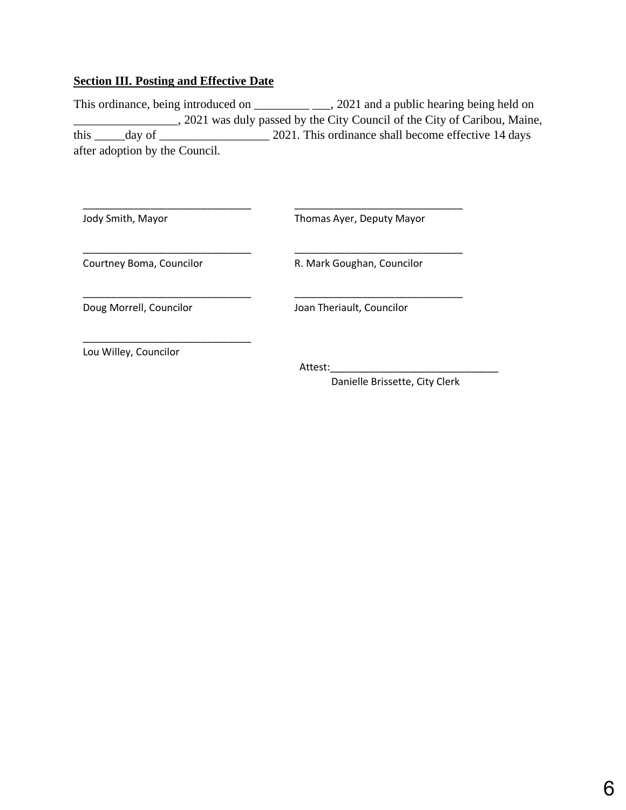# **Section III. Posting and Effective Date**

This ordinance, being introduced on \_\_\_\_\_\_\_\_\_\_\_\_\_\_\_\_\_\_\_\_, 2021 and a public hearing being held on \_\_\_\_\_\_\_\_\_\_\_\_\_\_\_\_\_, 2021 was duly passed by the City Council of the City of Caribou, Maine, this \_\_\_\_\_day of \_\_\_\_\_\_\_\_\_\_\_\_\_\_\_\_\_\_\_\_\_\_ 2021. This ordinance shall become effective 14 days after adoption by the Council.

| Jody Smith, Mayor        | Thomas Ayer, Deputy Mayor  |  |
|--------------------------|----------------------------|--|
| Courtney Boma, Councilor | R. Mark Goughan, Councilor |  |
| Doug Morrell, Councilor  | Joan Theriault, Councilor  |  |
| Lou Willey, Councilor    | Attest:                    |  |

Danielle Brissette, City Clerk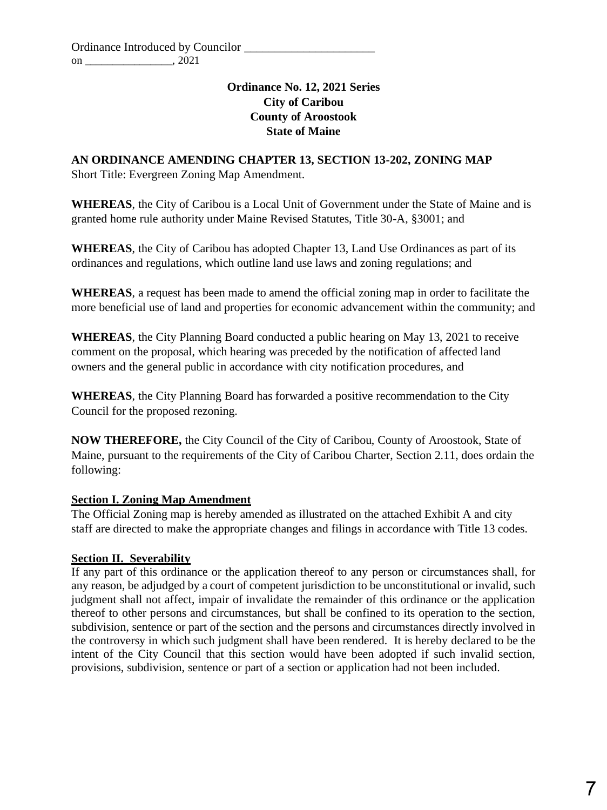## **Ordinance No. 12, 2021 Series City of Caribou County of Aroostook State of Maine**

### **AN ORDINANCE AMENDING CHAPTER 13, SECTION 13-202, ZONING MAP** Short Title: Evergreen Zoning Map Amendment.

**WHEREAS**, the City of Caribou is a Local Unit of Government under the State of Maine and is granted home rule authority under Maine Revised Statutes, Title 30-A, §3001; and

**WHEREAS**, the City of Caribou has adopted Chapter 13, Land Use Ordinances as part of its ordinances and regulations, which outline land use laws and zoning regulations; and

**WHEREAS**, a request has been made to amend the official zoning map in order to facilitate the more beneficial use of land and properties for economic advancement within the community; and

**WHEREAS**, the City Planning Board conducted a public hearing on May 13, 2021 to receive comment on the proposal, which hearing was preceded by the notification of affected land owners and the general public in accordance with city notification procedures, and

**WHEREAS**, the City Planning Board has forwarded a positive recommendation to the City Council for the proposed rezoning.

**NOW THEREFORE,** the City Council of the City of Caribou, County of Aroostook, State of Maine, pursuant to the requirements of the City of Caribou Charter, Section 2.11, does ordain the following:

## **Section I. Zoning Map Amendment**

The Official Zoning map is hereby amended as illustrated on the attached Exhibit A and city staff are directed to make the appropriate changes and filings in accordance with Title 13 codes.

### **Section II. Severability**

If any part of this ordinance or the application thereof to any person or circumstances shall, for any reason, be adjudged by a court of competent jurisdiction to be unconstitutional or invalid, such judgment shall not affect, impair of invalidate the remainder of this ordinance or the application thereof to other persons and circumstances, but shall be confined to its operation to the section, subdivision, sentence or part of the section and the persons and circumstances directly involved in the controversy in which such judgment shall have been rendered. It is hereby declared to be the intent of the City Council that this section would have been adopted if such invalid section, provisions, subdivision, sentence or part of a section or application had not been included.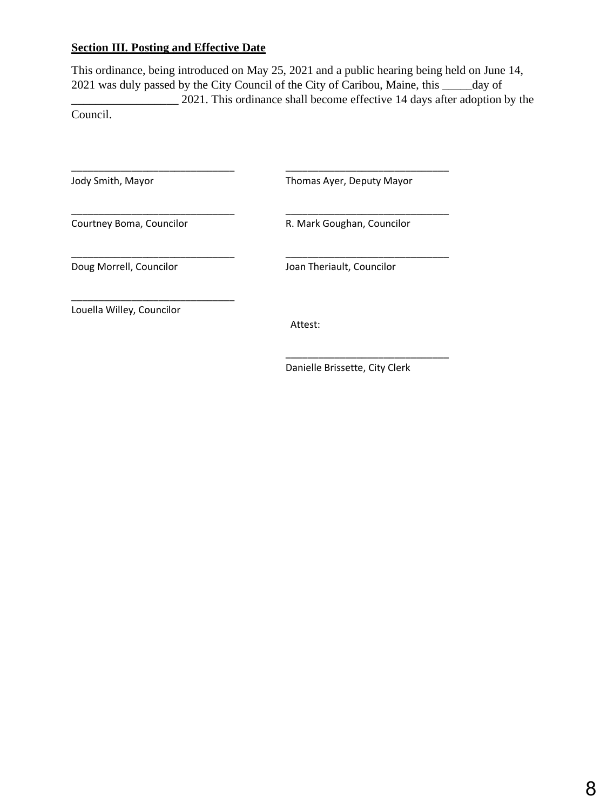## **Section III. Posting and Effective Date**

This ordinance, being introduced on May 25, 2021 and a public hearing being held on June 14, 2021 was duly passed by the City Council of the City of Caribou, Maine, this \_\_\_\_\_day of

\_\_\_\_\_\_\_\_\_\_\_\_\_\_\_\_\_\_ 2021. This ordinance shall become effective 14 days after adoption by the Council.

\_\_\_\_\_\_\_\_\_\_\_\_\_\_\_\_\_\_\_\_\_\_\_\_\_\_\_\_\_\_ \_\_\_\_\_\_\_\_\_\_\_\_\_\_\_\_\_\_\_\_\_\_\_\_\_\_\_\_\_\_

\_\_\_\_\_\_\_\_\_\_\_\_\_\_\_\_\_\_\_\_\_\_\_\_\_\_\_\_\_\_ \_\_\_\_\_\_\_\_\_\_\_\_\_\_\_\_\_\_\_\_\_\_\_\_\_\_\_\_\_\_

\_\_\_\_\_\_\_\_\_\_\_\_\_\_\_\_\_\_\_\_\_\_\_\_\_\_\_\_\_\_ \_\_\_\_\_\_\_\_\_\_\_\_\_\_\_\_\_\_\_\_\_\_\_\_\_\_\_\_\_\_

Jody Smith, Mayor Thomas Ayer, Deputy Mayor

Courtney Boma, Councilor **R. Mark Goughan, Councilor** 

Doug Morrell, Councilor **Matter Councilor** Joan Theriault, Councilor

Louella Willey, Councilor

\_\_\_\_\_\_\_\_\_\_\_\_\_\_\_\_\_\_\_\_\_\_\_\_\_\_\_\_\_\_

Attest:

Danielle Brissette, City Clerk

\_\_\_\_\_\_\_\_\_\_\_\_\_\_\_\_\_\_\_\_\_\_\_\_\_\_\_\_\_\_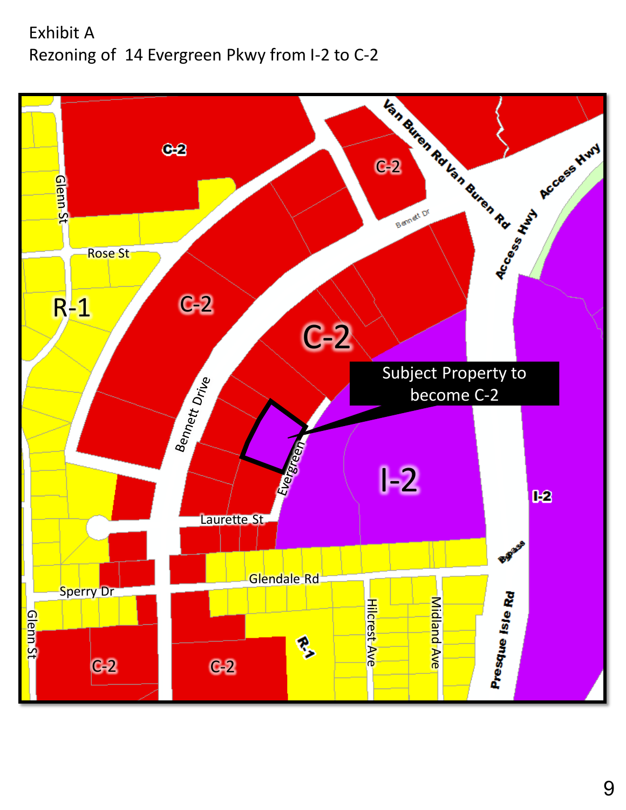# Exhibit A Rezoning of 14 Evergreen Pkwy from I-2 to C-2

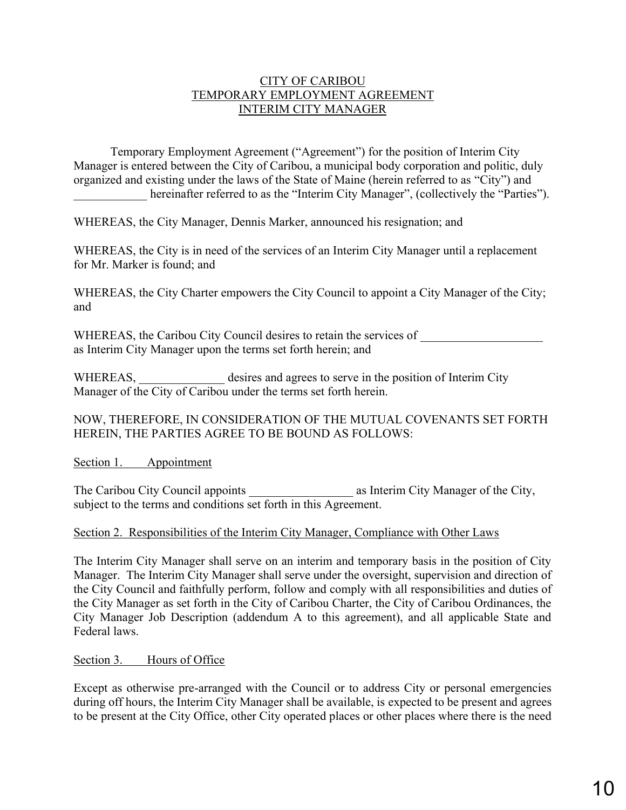### CITY OF CARIBOU TEMPORARY EMPLOYMENT AGREEMENT INTERIM CITY MANAGER

Temporary Employment Agreement ("Agreement") for the position of Interim City Manager is entered between the City of Caribou, a municipal body corporation and politic, duly organized and existing under the laws of the State of Maine (herein referred to as "City") and hereinafter referred to as the "Interim City Manager", (collectively the "Parties").

WHEREAS, the City Manager, Dennis Marker, announced his resignation; and

WHEREAS, the City is in need of the services of an Interim City Manager until a replacement for Mr. Marker is found; and

WHEREAS, the City Charter empowers the City Council to appoint a City Manager of the City; and

WHEREAS, the Caribou City Council desires to retain the services of as Interim City Manager upon the terms set forth herein; and

WHEREAS, desires and agrees to serve in the position of Interim City Manager of the City of Caribou under the terms set forth herein.

### NOW, THEREFORE, IN CONSIDERATION OF THE MUTUAL COVENANTS SET FORTH HEREIN, THE PARTIES AGREE TO BE BOUND AS FOLLOWS:

Section 1. Appointment

The Caribou City Council appoints as Interim City Manager of the City, subject to the terms and conditions set forth in this Agreement.

### Section 2. Responsibilities of the Interim City Manager, Compliance with Other Laws

The Interim City Manager shall serve on an interim and temporary basis in the position of City Manager. The Interim City Manager shall serve under the oversight, supervision and direction of the City Council and faithfully perform, follow and comply with all responsibilities and duties of the City Manager as set forth in the City of Caribou Charter, the City of Caribou Ordinances, the City Manager Job Description (addendum A to this agreement), and all applicable State and Federal laws.

Section 3. Hours of Office

Except as otherwise pre-arranged with the Council or to address City or personal emergencies during off hours, the Interim City Manager shall be available, is expected to be present and agrees to be present at the City Office, other City operated places or other places where there is the need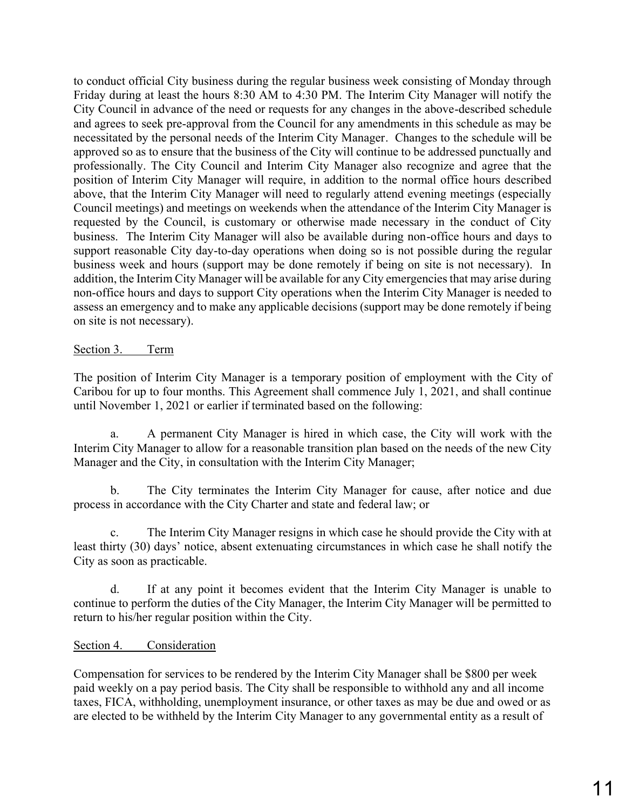to conduct official City business during the regular business week consisting of Monday through Friday during at least the hours 8:30 AM to 4:30 PM. The Interim City Manager will notify the City Council in advance of the need or requests for any changes in the above-described schedule and agrees to seek pre-approval from the Council for any amendments in this schedule as may be necessitated by the personal needs of the Interim City Manager. Changes to the schedule will be approved so as to ensure that the business of the City will continue to be addressed punctually and professionally. The City Council and Interim City Manager also recognize and agree that the position of Interim City Manager will require, in addition to the normal office hours described above, that the Interim City Manager will need to regularly attend evening meetings (especially Council meetings) and meetings on weekends when the attendance of the Interim City Manager is requested by the Council, is customary or otherwise made necessary in the conduct of City business. The Interim City Manager will also be available during non-office hours and days to support reasonable City day-to-day operations when doing so is not possible during the regular business week and hours (support may be done remotely if being on site is not necessary). In addition, the Interim City Manager will be available for any City emergencies that may arise during non-office hours and days to support City operations when the Interim City Manager is needed to assess an emergency and to make any applicable decisions (support may be done remotely if being on site is not necessary).

### Section 3. Term

The position of Interim City Manager is a temporary position of employment with the City of Caribou for up to four months. This Agreement shall commence July 1, 2021, and shall continue until November 1, 2021 or earlier if terminated based on the following:

a. A permanent City Manager is hired in which case, the City will work with the Interim City Manager to allow for a reasonable transition plan based on the needs of the new City Manager and the City, in consultation with the Interim City Manager;

b. The City terminates the Interim City Manager for cause, after notice and due process in accordance with the City Charter and state and federal law; or

c. The Interim City Manager resigns in which case he should provide the City with at least thirty (30) days' notice, absent extenuating circumstances in which case he shall notify the City as soon as practicable.

d. If at any point it becomes evident that the Interim City Manager is unable to continue to perform the duties of the City Manager, the Interim City Manager will be permitted to return to his/her regular position within the City.

### Section 4. Consideration

Compensation for services to be rendered by the Interim City Manager shall be \$800 per week paid weekly on a pay period basis. The City shall be responsible to withhold any and all income taxes, FICA, withholding, unemployment insurance, or other taxes as may be due and owed or as are elected to be withheld by the Interim City Manager to any governmental entity as a result of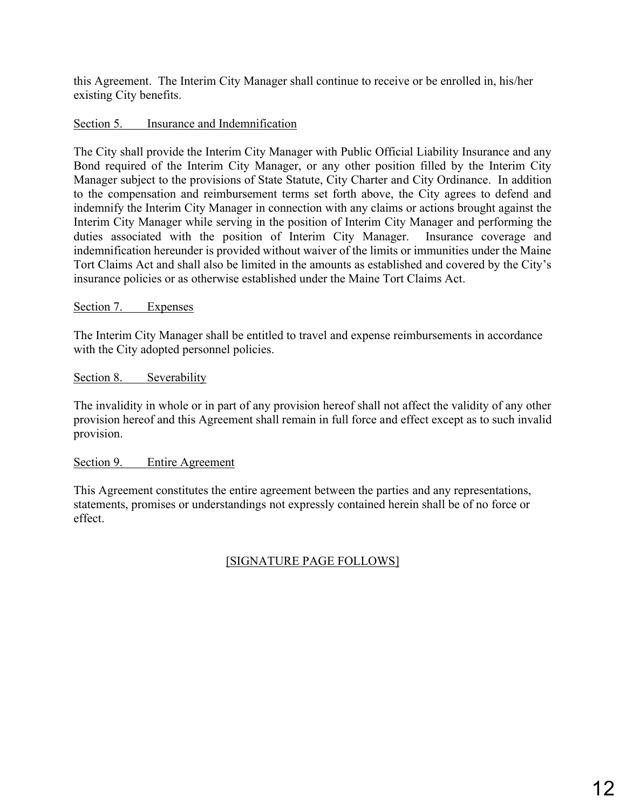this Agreement. The Interim City Manager shall continue to receive or be enrolled in, his/her existing City benefits.

## Section 5. Insurance and Indemnification

The City shall provide the Interim City Manager with Public Official Liability Insurance and any Bond required of the Interim City Manager, or any other position filled by the Interim City Manager subject to the provisions of State Statute, City Charter and City Ordinance. In addition to the compensation and reimbursement terms set forth above, the City agrees to defend and indemnify the Interim City Manager in connection with any claims or actions brought against the Interim City Manager while serving in the position of Interim City Manager and performing the duties associated with the position of Interim City Manager. Insurance coverage and indemnification hereunder is provided without waiver of the limits or immunities under the Maine Tort Claims Act and shall also be limited in the amounts as established and covered by the City's insurance policies or as otherwise established under the Maine Tort Claims Act.

### Section 7. Expenses

The Interim City Manager shall be entitled to travel and expense reimbursements in accordance with the City adopted personnel policies.

### Section 8. Severability

The invalidity in whole or in part of any provision hereof shall not affect the validity of any other provision hereof and this Agreement shall remain in full force and effect except as to such invalid provision.

### Section 9. Entire Agreement

This Agreement constitutes the entire agreement between the parties and any representations, statements, promises or understandings not expressly contained herein shall be of no force or effect.

# [SIGNATURE PAGE FOLLOWS]